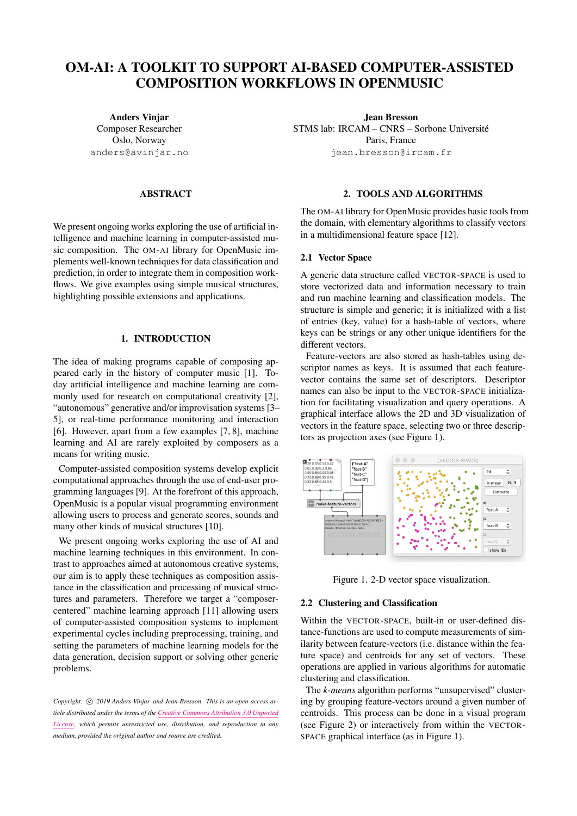# OM-AI: A TOOLKIT TO SUPPORT AI-BASED COMPUTER-ASSISTED COMPOSITION WORKFLOWS IN OPENMUSIC

Anders Vinjar Composer Researcher Oslo, Norway [anders@avinjar.no](mailto:anders@avinjar.no)

## ABSTRACT

We present ongoing works exploring the use of artificial intelligence and machine learning in computer-assisted music composition. The OM-AI library for OpenMusic implements well-known techniques for data classification and prediction, in order to integrate them in composition workflows. We give examples using simple musical structures, highlighting possible extensions and applications.

# 1. INTRODUCTION

The idea of making programs capable of composing appeared early in the history of computer music [\[1\]](#page-1-0). Today artificial intelligence and machine learning are commonly used for research on computational creativity [\[2\]](#page-1-1), "autonomous" generative and/or improvisation systems [\[3–](#page-1-2) [5\]](#page-1-3), or real-time performance monitoring and interaction [\[6\]](#page-1-4). However, apart from a few examples [\[7,](#page-1-5) [8\]](#page-1-6), machine learning and AI are rarely exploited by composers as a means for writing music.

Computer-assisted composition systems develop explicit computational approaches through the use of end-user programming languages [\[9\]](#page-1-7). At the forefront of this approach, OpenMusic is a popular visual programming environment allowing users to process and generate scores, sounds and many other kinds of musical structures [\[10\]](#page-1-8).

We present ongoing works exploring the use of AI and machine learning techniques in this environment. In contrast to approaches aimed at autonomous creative systems, our aim is to apply these techniques as composition assistance in the classification and processing of musical structures and parameters. Therefore we target a "composercentered" machine learning approach [\[11\]](#page-1-9) allowing users of computer-assisted composition systems to implement experimental cycles including preprocessing, training, and setting the parameters of machine learning models for the data generation, decision support or solving other generic problems.

Copyright:  $\odot$  2019 Anders Vinjar and Jean Bresson. This is an open-access ar*ticle distributed under the terms of the [Creative Commons Attribution 3.0 Unported](http://creativecommons.org/licenses/by/3.0/) [License,](http://creativecommons.org/licenses/by/3.0/) which permits unrestricted use, distribution, and reproduction in any medium, provided the original author and source are credited.*

Jean Bresson STMS lab: IRCAM – CNRS – Sorbone Universite´ Paris, France [jean.bresson@ircam.fr](mailto:jean.bresson@ircam.fr)

#### 2. TOOLS AND ALGORITHMS

The OM-AI library for OpenMusic provides basic tools from the domain, with elementary algorithms to classify vectors in a multidimensional feature space [\[12\]](#page-1-10).

## 2.1 Vector Space

A generic data structure called VECTOR-SPACE is used to store vectorized data and information necessary to train and run machine learning and classification models. The structure is simple and generic; it is initialized with a list of entries (key, value) for a hash-table of vectors, where keys can be strings or any other unique identifiers for the different vectors.

Feature-vectors are also stored as hash-tables using descriptor names as keys. It is assumed that each featurevector contains the same set of descriptors. Descriptor names can also be input to the VECTOR-SPACE initialization for facilitating visualization and query operations. A graphical interface allows the 2D and 3D visualization of vectors in the feature space, selecting two or three descriptors as projection axes (see Figure [1\)](#page-0-0).

<span id="page-0-0"></span>

Figure 1. 2-D vector space visualization.

#### 2.2 Clustering and Classification

Within the VECTOR-SPACE, built-in or user-defined distance-functions are used to compute measurements of similarity between feature-vectors (i.e. distance within the feature space) and centroids for any set of vectors. These operations are applied in various algorithms for automatic clustering and classification.

The *k-means* algorithm performs "unsupervised" clustering by grouping feature-vectors around a given number of centroids. This process can be done in a visual program (see Figure [2\)](#page-1-11) or interactively from within the VECTOR-SPACE graphical interface (as in Figure [1\)](#page-0-0).